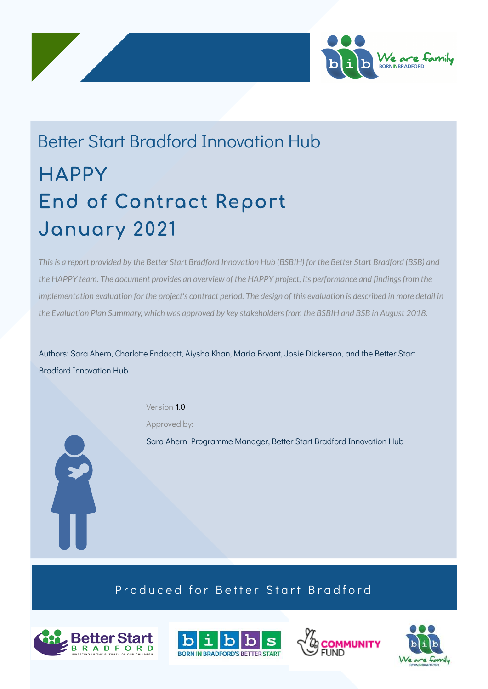



This is a report provided by the Better Start Bradford Innovation Hub (BSBIH) for the Better Start Bradford (BSB) and the HAPPY team. The document provides an overview of the HAPPY project, its performance and findings from the implementation evaluation for the project's contract period. The design of this evaluation is described in more detail in *the Evaluation Plan Summary, which was approved by key stakeholdersfrom the BSBIH and BSB in August 2018.*

Authors: Sara Ahern, Charlotte Endacott, Aiysha Khan, Maria Bryant, Josie Dickerson, and the Better Start Bradford Innovation Hub

Version 1.0

Approved by:



### Produced for Better Start Bradford







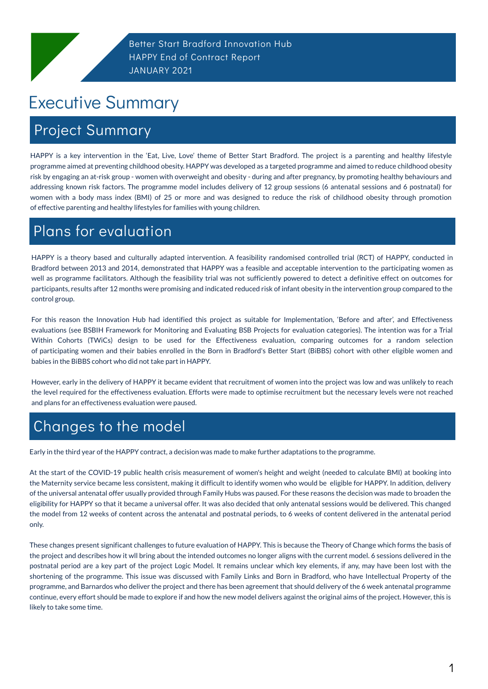## Project Summary

Better Start Bradford Innovation Hub HAPPY End of Contract Report JANUARY 2021

# Executive Summary

HAPPY is a key intervention in the 'Eat, Live, Love' theme of Better Start Bradford. The project is a parenting and healthy lifestyle programme aimed at preventing childhood obesity. HAPPY was developed as a targeted programme and aimed to reduce childhood obesity risk by engaging an at-risk group - women with overweight and obesity - during and after pregnancy, by promoting healthy behaviours and addressing known risk factors. The programme model includes delivery of 12 group sessions (6 antenatal sessions and 6 postnatal) for women with a body mass index (BMI) of 25 or more and was designed to reduce the risk of childhood obesity through promotion of effective parenting and healthy lifestyles for families with young children.

1

# Plans for evaluation

For this reason the Innovation Hub had identified this project as suitable for Implementation, 'Before and after', and Effectiveness evaluations (see BSBIH Framework for Monitoring and Evaluating BSB Projects for evaluation categories). The intention was for a Trial Within Cohorts (TWiCs) design to be used for the Effectiveness evaluation, comparing outcomes for a random selection of participating women and their babies enrolled in the Born in Bradford's Better Start (BiBBS) cohort with other eligible women and babies in the BiBBS cohort who did not take part in HAPPY.

HAPPY is a theory based and culturally adapted intervention. A feasibility randomised controlled trial (RCT) of HAPPY, conducted in Bradford between 2013 and 2014, demonstrated that HAPPY was a feasible and acceptable intervention to the participating women as well as programme facilitators. Although the feasibility trial was not sufficiently powered to detect a definitive effect on outcomes for participants, results after 12 months were promising and indicated reduced risk of infant obesity in the intervention group compared to the control group.

However, early in the delivery of HAPPY it became evident that recruitment of women into the project was low and was unlikely to reach the level required for the effectiveness evaluation. Efforts were made to optimise recruitment but the necessary levels were not reached and plans for an effectiveness evaluation were paused.

## Changes to the model

Early in the third year of the HAPPY contract, a decision was made to make further adaptations to the programme.

At the start of the COVID-19 public health crisis measurement of women's height and weight (needed to calculate BMI) at booking into the Maternity service became less consistent, making it difficult to identify women who would be eligible for HAPPY. In addition, delivery

of the universal antenatal offer usually provided through Family Hubs was paused. For these reasons the decision was made to broaden the eligibility for HAPPY so that it became a universal offer. It was also decided that only antenatal sessions would be delivered. This changed the model from 12 weeks of content across the antenatal and postnatal periods, to 6 weeks of content delivered in the antenatal period only.

These changes present significant challenges to future evaluation of HAPPY. This is because the Theory of Change which forms the basis of the project and describes how it wll bring about the intended outcomes no longer aligns with the current model. 6 sessions delivered in the postnatal period are a key part of the project Logic Model. It remains unclear which key elements, if any, may have been lost with the shortening of the programme. This issue was discussed with Family Links and Born in Bradford, who have Intellectual Property of the programme, and Barnardos who deliver the project and there has been agreement that should delivery of the 6 week antenatal programme continue, every effort should be made to explore if and how the new model delivers against the original aims of the project. However, this is likely to take some time.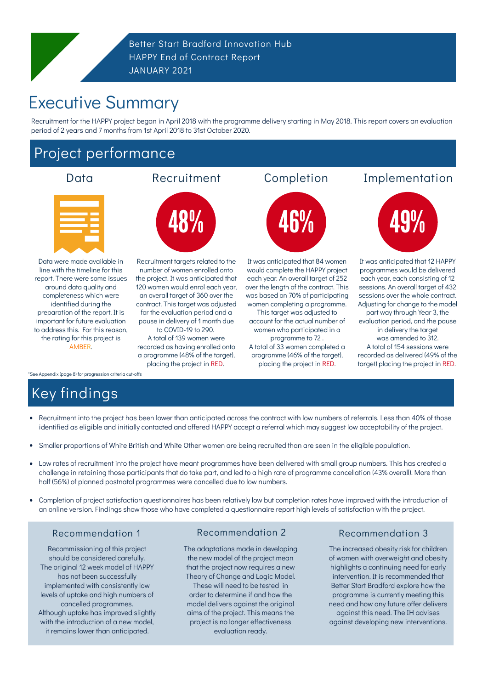## Project performance

Better Start Bradford Innovation Hub HAPPY End of Contract Report JANUARY 2021

Data were made available in line with the timeline for this report. There were some issues around data quality and completeness which were identified during the preparation of the report. It is important for future evaluation to address this. For this reason, the rating for this project is AMBER.

\*See Appendix (page 8) for progression criteria cut-offs

It was anticipated that 12 HAPPY programmes would be delivered each year, each consisting of 12 sessions. An overall target of 432 sessions over the whole contract. Adjusting for change to the model part way through Year 3, the evaluation period, and the pause in delivery the target was amended to 312. A total of 154 sessions were recorded as delivered (49% of the target) placing the project in RED.





It was anticipated that 84 women would complete the HAPPY project each year. An overall target of 252 over the length of the contract. This was based on 70% of participating women completing a programme.

This target was adjusted to account for the actual number of women who participated in a programme to 72 . A total of 33 women completed a programme (46% of the target), placing the project in RED.

Recruitment targets related to the number of women enrolled onto the project. It was anticipated that 120 women would enrol each year, an overall target of 360 over the contract. This target was adjusted for the evaluation period and a pause in delivery of 1 month due to COVID-19 to 290. A total of 139 women were recorded as having enrolled onto a programme (48% of the target), placing the project in RED.

#### Recommendation 1

# Executive Summary

# Key findings

- Recruitment into the project has been lower than anticipated across the contract with low numbers of referrals. Less than 40% of those  $\bullet$ identified as eligible and initially contacted and offered HAPPY accept a referral which may suggest low acceptability of the project.
- Smaller proportions of White British and White Other women are being recruited than are seen in the eligible population.  $\bullet$
- Low rates of recruitment into the project have meant programmes have been delivered with small group numbers. This has created a  $\bullet$ challenge in retaining those participants that do take part, and led to a high rate of programme cancellation (43% overall). More than half (56%) of planned postnatal programmes were cancelled due to low numbers.

Completion of project satisfaction questionnaires has been relatively low but completion rates have improved with the introduction of  $\bullet$ an online version. Findings show those who have completed a questionnaire report high levels of satisfaction with the project.

Recommissioning of this project should be considered carefully. The original 12 week model of HAPPY has not been successfully implemented with consistently low levels of uptake and high numbers of cancelled programmes. Although uptake has improved slightly with the introduction of a new model, it remains lower than anticipated.

#### Recommendation 2 Recommendation 3

The adaptations made in developing the new model of the project mean that the project now requires a new Theory of Change and Logic Model. These will need to be tested in order to determine if and how the model delivers against the original aims of the project. This means the project is no longer effectiveness evaluation ready.

The increased obesity risk for children of women with overweight and obesity highlights a continuing need for early intervention. It is recommended that Better Start Bradford explore how the programme is currently meeting this need and how any future offer delivers against this need. The IH advises against developing new interventions.

Recruitment for the HAPPY project began in April 2018 with the programme delivery starting in May 2018. This report covers an evaluation period of 2 years and 7 months from 1st April 2018 to 31st October 2020.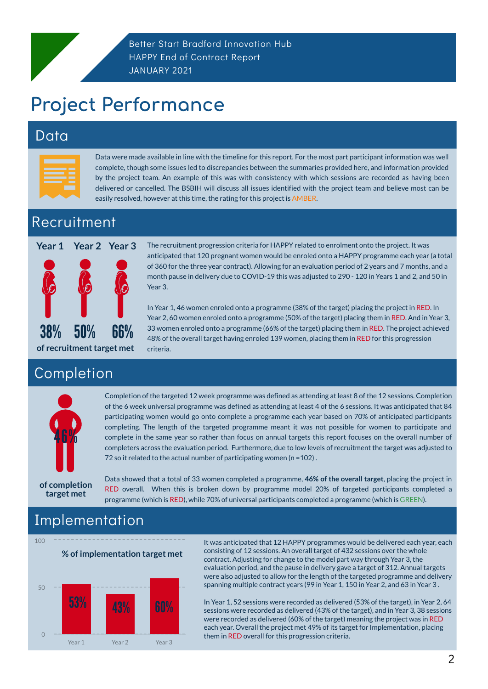## Data

# Project Performance

Data were made available in line with the timeline for this report. For the most part participant information was well complete, though some issues led to discrepancies between the summaries provided here, and information provided by the project team. An example of this was with consistency with which sessions are recorded as having been delivered or cancelled. The BSBIH will discuss all issues identified with the project team and believe most can be easily resolved, however at this time, the rating for this project is AMBER.

Completion of the targeted 12 week programme was defined as attending at least 8 of the 12 sessions. Completion of the 6 week universal programme was defined as attending at least 4 of the 6 sessions. It was anticipated that 84 participating women would go onto complete a programme each year based on 70% of anticipated participants completing. The length of the targeted programme meant it was not possible for women to participate and complete in the same year so rather than focus on annual targets this report focuses on the overall number of completers across the evaluation period. Furthermore, due to low levels of recruitment the target was adjusted to 72 so it related to the actual number of participating women (n = 102).

2

Better Start Bradford Innovation Hub HAPPY End of Contract Report JANUARY 2021

## Completion

## Recruitment

It was anticipated that 12 HAPPY programmes would be delivered each year, each consisting of 12 sessions. An overall target of 432 sessions over the whole contract. Adjusting for change to the model part way through Year 3, the evaluation period, and the pause in delivery gave a target of 312. Annual targets were also adjusted to allow for the length of the targeted programme and delivery spanning multiple contract years (99 in Year 1, 150 in Year 2, and 63 in Year 3 .

Data showed that a total of 33 women completed a programme, **46% of the overall target**, placing the project in RED overall. When this is broken down by programme model 20% of targeted participants completed a programme (which is RED), while 70% of universal participants completed a programme (which is GREEN).

> In Year 1, 52 sessions were recorded as delivered (53% of the target), in Year 2, 64 sessions were recorded as delivered (43% of the target), and in Year 3, 38 sessions were recorded as delivered (60% of the target) meaning the project was in RED each year. Overall the project met 49% of its target for Implementation, placing them in RED overall for this progression criteria.

The recruitment progression criteria for HAPPY related to enrolment onto the project. It was anticipated that 120 pregnant women would be enroled onto a HAPPY programme each year (a total of 360 for the three year contract). Allowing for an evaluation period of 2 years and 7 months, and a month pause in delivery due to COVID-19 this was adjusted to 290 - 120 in Years 1 and 2, and 50 in Year 3. **Year 1 Year 2 Year 3**

> In Year 1, 46 women enroled onto a programme (38% of the target) placing the project in RED. In Year 2, 60 women enroled onto a programme (50% of the target) placing them in RED. And in Year 3, 33 women enroled onto a programme (66% of the target) placing them in RED. The project achieved 48% of the overall target having enroled 139 women, placing them in RED for this progression criteria.

## Implementation







**of completion**

#### **target met**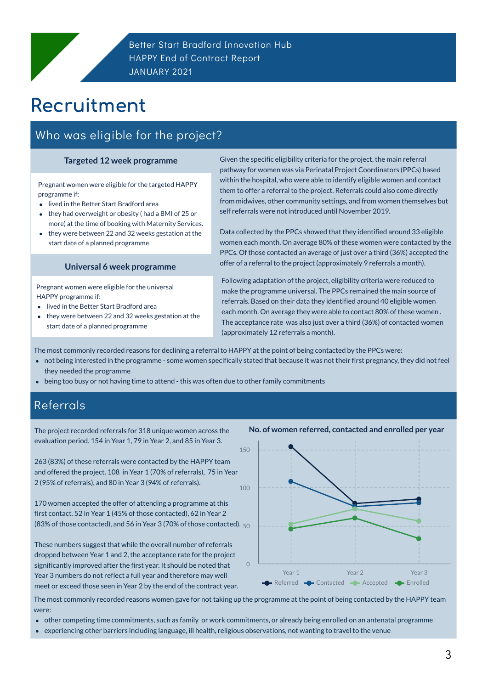# Recruitment

### Who was eligible for the project?

3

Pregnant women were eligible for the targeted HAPPY programme if:

- lived in the Better Start Bradford area
- they had overweight or obesity ( had a BMI of 25 or  $\bullet$ more) at the time of booking with Maternity Services.
- they were between 22 and 32 weeks gestation at the start date of a planned programme

### Referrals

Given the specific eligibility criteria for the project, the main referral pathway for women was via Perinatal Project Coordinators (PPCs) based within the hospital, who were able to identify eligible women and contact them to offer a referral to the project. Referrals could also come directly from midwives, other community settings, and from women themselves but self referrals were not introduced until November 2019.

Data collected by the PPCs showed that they identified around 33 eligible women each month. On average 80% of these women were contacted by the PPCs. Of those contacted an average of just over a third (36%) accepted the offer of a referral to the project (approximately 9 referrals a month).

170 women accepted the offer of attending a programme at this first contact. 52 in Year 1 (45% of those contacted), 62 in Year 2 (83% of those contacted), and 56 in Year 3 (70% of those contacted).  $_{50}$ 

#### **Targeted 12 week programme**

Pregnant women were eligible for the universal HAPPY programme if:

- lived in the Better Start Bradford area
- they were between 22 and 32 weeks gestation at the start date of a planned programme

#### **Universal 6 week programme**

- not being interested in the programme some women specifically stated that because it was not their first pregnancy, they did not feel they needed the programme
- being too busy or not having time to attend this was often due to other family commitments  $\bullet$

Following adaptation of the project, eligibility criteria were reduced to make the programme universal. The PPCs remained the main source of referrals. Based on their data they identified around 40 eligible women each month. On average they were able to contact 80% of these women . The acceptance rate was also just over a third (36%) of contacted women (approximately 12 referrals a month).

The project recorded referrals for 318 unique women across the evaluation period. 154 in Year 1, 79 in Year 2, and 85 in Year 3.

263 (83%) of these referrals were contacted by the HAPPY team and offered the project. 108 in Year 1 (70% of referrals), 75 in Year 2 (95% of referrals), and 80 in Year 3 (94% of referrals).

These numbers suggest that while the overall number of referrals dropped between Year 1 and 2, the acceptance rate for the project significantly improved after the first year. It should be noted that Year 3 numbers do not reflect a full year and therefore may well meet or exceed those seen in Year 2 by the end of the contract year.



#### **No. of women referred, contacted and enrolled per year**

The most commonly recorded reasons for declining a referral to HAPPY at the point of being contacted by the PPCs were:

The most commonly recorded reasons women gave for not taking up the programme at the point of being contacted by the HAPPY team were:

- other competing time commitments, such as family or work commitments, or already being enrolled on an antenatal programme
- experiencing other barriers including language, ill health, religious observations, not wanting to travel to the venue $\bullet$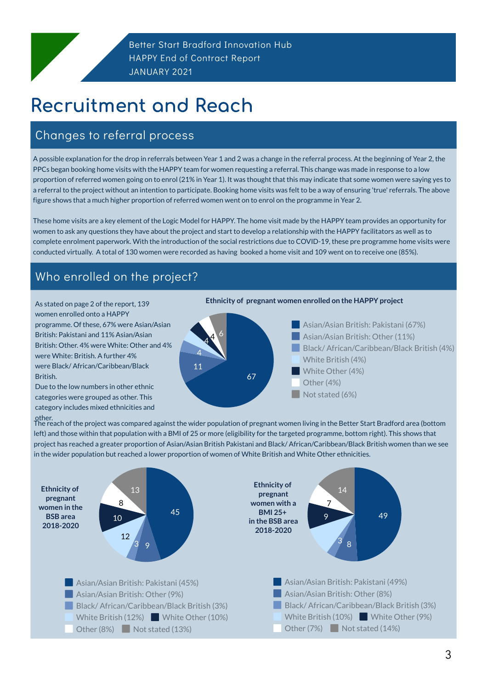# Recruitment and Reach

### Changes to referral process

3

As stated on page 2 of the report, 139 women enrolled onto a HAPPY programme. Of these, 67% were Asian/Asian British: Pakistani and 11% Asian/Asian British: Other. 4% were White: Other and 4% were White: British. A further 4% were Black/ African/Caribbean/Black British.

Due to the low numbers in other ethnic categories were grouped as other. This category includes mixed ethnicities and



Asian/Asian British: Pakistani (67%) Asian/Asian British: Other (11%) Black/ African/Caribbean/Black British (4%) White British (4%) White Other (4%) Other (4%) Not stated (6%)

Asian/Asian British: Pakistani (49%) Asian/Asian British: Other (8%) Black/ African/Caribbean/Black British (3%) White British (10%) White Other (9%) Other  $(7%)$  Not stated  $(14%)$ 

A possible explanation for the drop in referrals between Year 1 and 2 was a change in the referral process. At the beginning of Year 2, the PPCs began booking home visits with the HAPPY team for women requesting a referral. This change was made in response to a low proportion of referred women going on to enrol (21% in Year 1). It was thought that this may indicate that some women were saying yes to a referral to the project without an intention to participate. Booking home visits was felt to be a way of ensuring 'true' referrals. The above figure shows that a much higher proportion of referred women went on to enrol on the programme in Year 2.

Asian/Asian British: Pakistani (45%) **Asian/Asian British: Other (9%)** Black/African/Caribbean/Black British (3%) White British (12%) White Other (10%) Other  $(8\%)$  Not stated  $(13\%)$ 

These home visits are a key element of the Logic Model for HAPPY. The home visit made by the HAPPY team provides an opportunity for women to ask any questions they have about the project and start to develop a relationship with the HAPPY facilitators as well as to complete enrolment paperwork. With the introduction of the social restrictions due to COVID-19, these pre programme home visits were conducted virtually. A total of 130 women were recorded as having booked a home visit and 109 went on to receive one (85%).

other. The reach of the project was compared against the wider population of pregnant women living in the Better Start Bradford area (bottom left) and those within that population with a BMI of 25 or more (eligibility for the targeted programme, bottom right). This shows that project has reached a greater proportion of Asian/Asian British Pakistani and Black/ African/Caribbean/Black British women than we see in the wider population but reached a lower proportion of women of White British and White Other ethnicities.

### Who enrolled on the project?

49

8

3

9

7





**Ethnicity of pregnant women in the BSB area 2018-2020**

**Ethnicity of**

**pregnant women with a BMI 25+ in the BSB area 2018-2020**

#### **Ethnicity of pregnant women enrolled on the HAPPY project**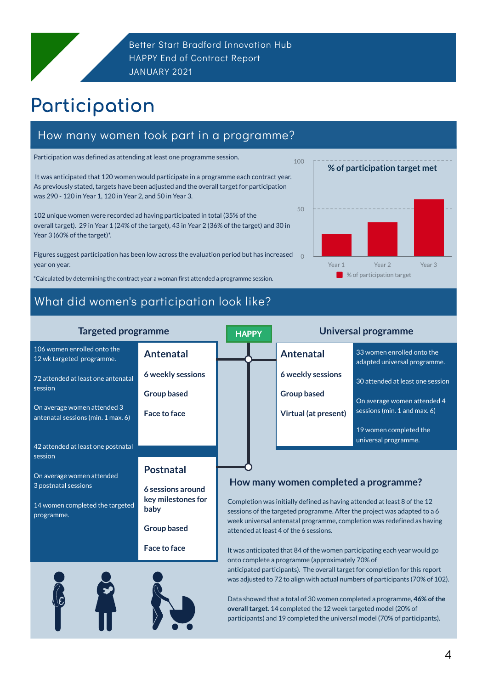# Participation

4

### What did women's participation look like?

Participation was defined as attending at least one programme session.

It was anticipated that 120 women would participate in a programme each contract year. As previously stated, targets have been adjusted and the overall target for participation was 290 - 120 in Year 1, 120 in Year 2, and 50 in Year 3.

102 unique women were recorded ad having participated in total (35% of the overall target). 29 in Year 1 (24% of the target), 43 in Year 2 (36% of the target) and 30 in Year 3 (60% of the target)\*.

### How many women took part in a programme?

3 postnatal sessions

14 women completed the targeted programme.

| <b>Targeted programme</b>                                         |                          | <b>HAPPY</b> | <b>Universal programme</b>  |                                                            |  |
|-------------------------------------------------------------------|--------------------------|--------------|-----------------------------|------------------------------------------------------------|--|
| 106 women enrolled onto the<br>12 wk targeted programme.          | Antenatal                |              | <b>Antenatal</b>            | 33 women enrolled onto the<br>adapted universal programme. |  |
| 72 attended at least one antenatal                                | <b>6 weekly sessions</b> |              | <b>6 weekly sessions</b>    | 30 attended at least one session                           |  |
| session                                                           | <b>Group based</b>       |              | <b>Group based</b>          | On average women attended 4                                |  |
| On average women attended 3<br>antenatal sessions (min. 1 max. 6) | <b>Face to face</b>      |              | <b>Virtual (at present)</b> | sessions (min. 1 and max. 6)                               |  |
|                                                                   |                          |              |                             | 19 women completed the                                     |  |
| 42 attended at least one postnatal                                |                          |              |                             | universal programme.                                       |  |
| session<br>On average women attended                              | <b>Postnatal</b>         |              |                             |                                                            |  |

#### **6 sessions around key milestones for baby**

**Group based**

**Face to face**



Figures suggest participation has been low across the evaluation period but has increased year on year. 0

> Completion was initially defined as having attended at least 8 of the 12 sessions of the targeted programme. After the project was adapted to a 6 week universal antenatal programme, completion was redefined as having attended at least 4 of the 6 sessions.

It was anticipated that 84 of the women participating each year would go onto complete a programme (approximately 70% of anticipated participants). The overall target for completion for this report was adjusted to 72 to align with actual numbers of participants (70% of 102).

Data showed that a total of 30 women completed a programme, **46% of the overall target**. 14 completed the 12 week targeted model (20% of participants) and 19 completed the universal model (70% of participants).





100

**How many women completed a programme?**

\*Calculated by determining the contract year a womanfirst attended a programme session.

#### **% of participation target met**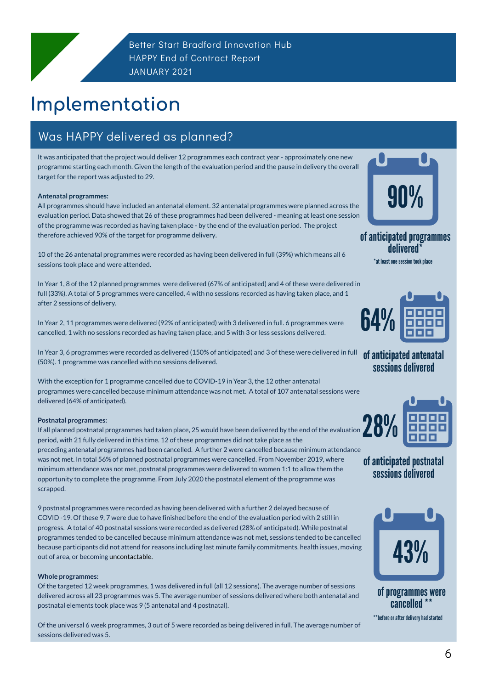# Implementation

### Was HAPPY delivered as planned?

It was anticipated that the project would deliver 12 programmes each contract year - approximately one new programme starting each month. Given the length of the evaluation period and the pause in delivery the overall target for the report was adjusted to 29.

#### **Antenatal programmes:**

All programmes should have included an antenatal element. 32 antenatal programmes were planned across the evaluation period. Data showed that 26 of these programmes had been delivered - meaning at least one session of the programme was recorded as having taken place - by the end of the evaluation period. The project therefore achieved 90% of the target for programme delivery.

10 of the 26 antenatal programmes were recorded as having been delivered in full (39%) which means all 6 sessions took place and were attended.

In Year 1, 8 of the 12 planned programmes were delivered (67% of anticipated) and 4 of these were delivered in full (33%). A total of 5 programmes were cancelled, 4 with no sessions recorded as having taken place, and 1 after 2 sessions of delivery.

In Year 2, 11 programmes were delivered (92% of anticipated) with 3 delivered in full. 6 programmes were cancelled, 1 with no sessions recorded as having taken place, and 5 with 3 or less sessions delivered.

In Year 3, 6 programmes were recorded as delivered (150% of anticipated) and 3 of these were delivered in full (50%). 1 programme was cancelled with no sessions delivered.

With the exception for 1 programme cancelled due to COVID-19 in Year 3, the 12 other antenatal programmes were cancelled because minimum attendance was not met. A total of 107 antenatal sessions were delivered (64% of anticipated).

> of programmes were cancelled

#### **Postnatal programmes:**

If all planned postnatal programmes had taken place, 25 would have been delivered by the end of the evaluation period, with 21 fully delivered in this time. 12 of these programmes did not take place as the preceding antenatal programmes had been cancelled. A further 2 were cancelled because minimum attendance was not met. In total 56% of planned postnatal programmes were cancelled. From November 2019, where minimum attendance was not met, postnatal programmes were delivered to women 1:1 to allow them the opportunity to complete the programme. From July 2020 the postnatal element of the programme was

scrapped.

9 postnatal programmes were recorded as having been delivered with a further 2 delayed because of COVID -19. Of these 9, 7 were due to have finished before the end of the evaluation period with 2 still in progress. A total of 40 postnatal sessions were recorded as delivered (28% of anticipated). While postnatal programmes tended to be cancelled because minimum attendance was not met, sessions tended to be cancelled because participants did not attend for reasons including last minute family commitments, health issues, moving out of area, or becoming uncontactable.

#### **Whole programmes:**

Of the targeted 12 week programmes, 1 was delivered in full (all 12 sessions). The average number of sessions delivered across all 23 programmes was 5. The average number of sessions delivered where both antenatal and postnatal elements took place was 9 (5 antenatal and 4 postnatal).

Of the universal 6 week programmes, 3 out of 5 were recorded as being delivered in full. The average number of sessions delivered was 5.



#### of anticipated programmes



of anticipated antenatal sessions delivered



### of anticipated postnatal sessions delivered





\*\*before or after delivery had started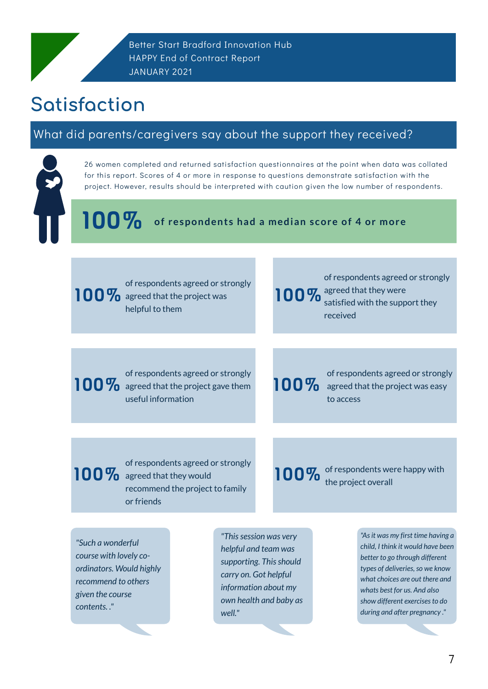### What did parents/caregivers say about the support they received?



**of respondents had a median score of 4 or more** 100%

# Satisfaction

26 women completed and returned satisfaction questionnaires at the point when data was collated for this report. Scores of 4 or more in response to questions demonstrate satisfaction with the project. However, results should be interpreted with caution given the low number of respondents.

Better Start Bradford Innovation Hub HAPPY End of Contract Report JANUARY 2021

#### 100% of respondents agreed or strongly agreed that the project was helpful to them

of respondents agreed or strongly 100% agreed that they were satisfied with the support they received

100% of respondents agreed or strongly agreed that the project gave them useful information

100% of respondents agreed or strongly agreed that the project was easy to access

100% of respondents agreed or strongly agreed that they would

#### recommend the project to family or friends

100% of respondents were happy with the project overall

*"Such a wonderful course with lovely coordinators. Would highly recommend to others given the course contents. ."*

*"Thissession was very helpful and team was supporting. Thisshould carry on. Got helpful information about my own health and baby as well."*

*"Asit was my first time having a child, I think it would have been better to go through different types of deliveries,so we know what choices are out there and whats best for us. And also show different exercisesto do during and after pregnancy ."*

7